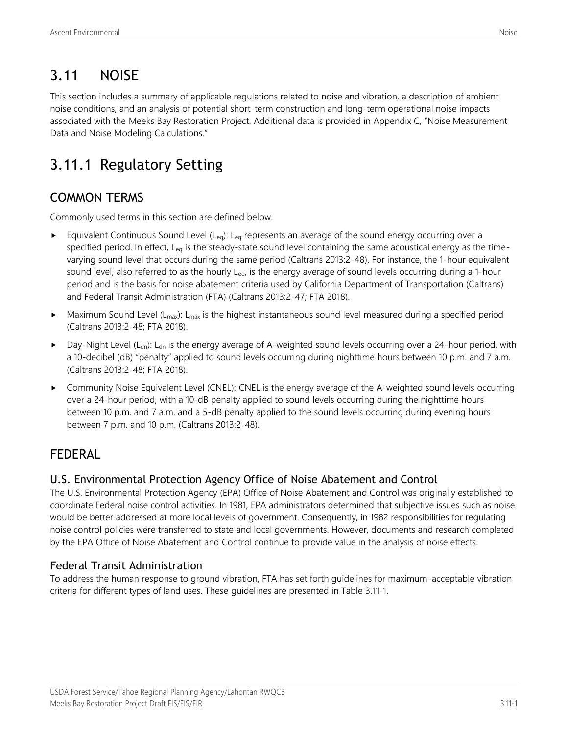# 3.11 NOISE

This section includes a summary of applicable regulations related to noise and vibration, a description of ambient noise conditions, and an analysis of potential short-term construction and long-term operational noise impacts associated with the Meeks Bay Restoration Project. Additional data is provided in Appendix C, "Noise Measurement Data and Noise Modeling Calculations."

# 3.11.1 Regulatory Setting

## COMMON TERMS

Commonly used terms in this section are defined below.

- Equivalent Continuous Sound Level (L<sub>eg</sub>): L<sub>eg</sub> represents an average of the sound energy occurring over a specified period. In effect,  $L_{eq}$  is the steady-state sound level containing the same acoustical energy as the timevarying sound level that occurs during the same period (Caltrans 2013:2-48). For instance, the 1-hour equivalent sound level, also referred to as the hourly  $L_{eq}$ , is the energy average of sound levels occurring during a 1-hour period and is the basis for noise abatement criteria used by California Department of Transportation (Caltrans) and Federal Transit Administration (FTA) (Caltrans 2013:2-47; FTA 2018).
- $\blacktriangleright$  Maximum Sound Level (L<sub>max</sub>): L<sub>max</sub> is the highest instantaneous sound level measured during a specified period (Caltrans 2013:2-48; FTA 2018).
- Day-Night Level ( $L_{dn}$ ):  $L_{dn}$  is the energy average of A-weighted sound levels occurring over a 24-hour period, with a 10-decibel (dB) "penalty" applied to sound levels occurring during nighttime hours between 10 p.m. and 7 a.m. (Caltrans 2013:2-48; FTA 2018).
- Community Noise Equivalent Level (CNEL): CNEL is the energy average of the A-weighted sound levels occurring over a 24-hour period, with a 10-dB penalty applied to sound levels occurring during the nighttime hours between 10 p.m. and 7 a.m. and a 5-dB penalty applied to the sound levels occurring during evening hours between 7 p.m. and 10 p.m. (Caltrans 2013:2-48).

## FEDERAL

## U.S. Environmental Protection Agency Office of Noise Abatement and Control

The U.S. Environmental Protection Agency (EPA) Office of Noise Abatement and Control was originally established to coordinate Federal noise control activities. In 1981, EPA administrators determined that subjective issues such as noise would be better addressed at more local levels of government. Consequently, in 1982 responsibilities for regulating noise control policies were transferred to state and local governments. However, documents and research completed by the EPA Office of Noise Abatement and Control continue to provide value in the analysis of noise effects.

## Federal Transit Administration

To address the human response to ground vibration, FTA has set forth guidelines for maximum-acceptable vibration criteria for different types of land uses. These guidelines are presented in Table 3.11-1.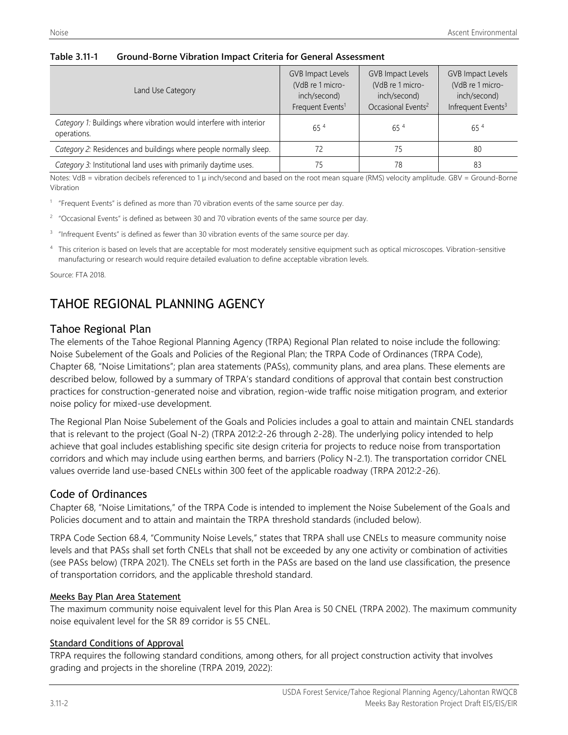#### **Table 3.11-1 Ground-Borne Vibration Impact Criteria for General Assessment**

| Land Use Category                                                                  | <b>GVB Impact Levels</b><br>(VdB re 1 micro-<br>inch/second)<br>Frequent Events <sup>1</sup> | <b>GVB Impact Levels</b><br>(VdB re 1 micro-<br>inch/second)<br>Occasional Events <sup>2</sup> | <b>GVB Impact Levels</b><br>(VdB re 1 micro-<br>inch/second)<br>Infrequent Events <sup>3</sup> |
|------------------------------------------------------------------------------------|----------------------------------------------------------------------------------------------|------------------------------------------------------------------------------------------------|------------------------------------------------------------------------------------------------|
| Category 1: Buildings where vibration would interfere with interior<br>operations. | $65^{4}$                                                                                     | $65^{4}$                                                                                       | $65^{4}$                                                                                       |
| Category 2: Residences and buildings where people normally sleep.                  | 72                                                                                           | 75                                                                                             | 80                                                                                             |
| Category 3: Institutional land uses with primarily daytime uses.                   | 75                                                                                           | 78                                                                                             | 83                                                                                             |

Notes: VdB = vibration decibels referenced to 1 μ inch/second and based on the root mean square (RMS) velocity amplitude. GBV = Ground-Borne Vibration

<sup>1</sup> "Frequent Events" is defined as more than 70 vibration events of the same source per day.

- $2$  "Occasional Events" is defined as between 30 and 70 vibration events of the same source per day.
- 3 "Infrequent Events" is defined as fewer than 30 vibration events of the same source per day.
- <sup>4</sup> This criterion is based on levels that are acceptable for most moderately sensitive equipment such as optical microscopes. Vibration-sensitive manufacturing or research would require detailed evaluation to define acceptable vibration levels.

Source: FTA 2018.

## TAHOE REGIONAL PLANNING AGENCY

#### Tahoe Regional Plan

The elements of the Tahoe Regional Planning Agency (TRPA) Regional Plan related to noise include the following: Noise Subelement of the Goals and Policies of the Regional Plan; the TRPA Code of Ordinances (TRPA Code), Chapter 68, "Noise Limitations"; plan area statements (PASs), community plans, and area plans. These elements are described below, followed by a summary of TRPA's standard conditions of approval that contain best construction practices for construction-generated noise and vibration, region-wide traffic noise mitigation program, and exterior noise policy for mixed-use development.

The Regional Plan Noise Subelement of the Goals and Policies includes a goal to attain and maintain CNEL standards that is relevant to the project (Goal N-2) (TRPA 2012:2-26 through 2-28). The underlying policy intended to help achieve that goal includes establishing specific site design criteria for projects to reduce noise from transportation corridors and which may include using earthen berms, and barriers (Policy N-2.1). The transportation corridor CNEL values override land use-based CNELs within 300 feet of the applicable roadway (TRPA 2012:2-26).

#### Code of Ordinances

Chapter 68, "Noise Limitations," of the TRPA Code is intended to implement the Noise Subelement of the Goals and Policies document and to attain and maintain the TRPA threshold standards (included below).

TRPA Code Section 68.4, "Community Noise Levels," states that TRPA shall use CNELs to measure community noise levels and that PASs shall set forth CNELs that shall not be exceeded by any one activity or combination of activities (see PASs below) (TRPA 2021). The CNELs set forth in the PASs are based on the land use classification, the presence of transportation corridors, and the applicable threshold standard.

#### Meeks Bay Plan Area Statement

The maximum community noise equivalent level for this Plan Area is 50 CNEL (TRPA 2002). The maximum community noise equivalent level for the SR 89 corridor is 55 CNEL.

#### Standard Conditions of Approval

TRPA requires the following standard conditions, among others, for all project construction activity that involves grading and projects in the shoreline (TRPA 2019, 2022):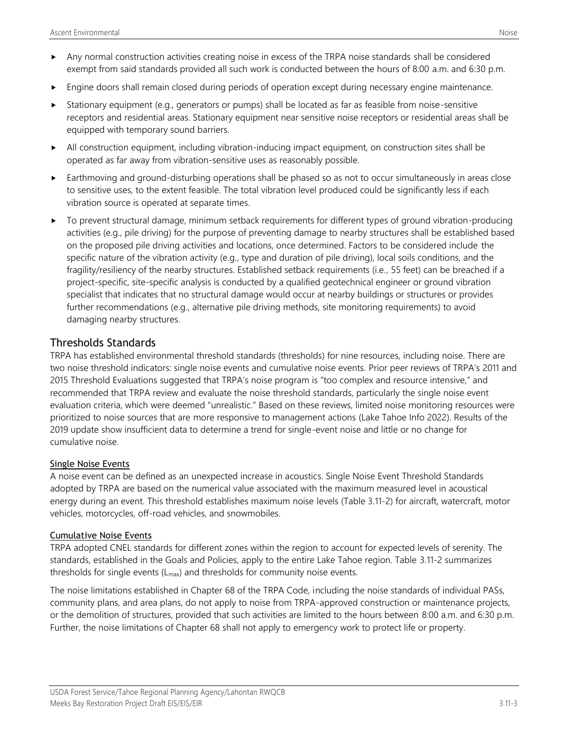- Any normal construction activities creating noise in excess of the TRPA noise standards shall be considered exempt from said standards provided all such work is conducted between the hours of 8:00 a.m. and 6:30 p.m.
- Engine doors shall remain closed during periods of operation except during necessary engine maintenance.
- Stationary equipment (e.g., generators or pumps) shall be located as far as feasible from noise-sensitive receptors and residential areas. Stationary equipment near sensitive noise receptors or residential areas shall be equipped with temporary sound barriers.
- All construction equipment, including vibration-inducing impact equipment, on construction sites shall be operated as far away from vibration-sensitive uses as reasonably possible.
- Earthmoving and ground-disturbing operations shall be phased so as not to occur simultaneously in areas close to sensitive uses, to the extent feasible. The total vibration level produced could be significantly less if each vibration source is operated at separate times.
- To prevent structural damage, minimum setback requirements for different types of ground vibration-producing activities (e.g., pile driving) for the purpose of preventing damage to nearby structures shall be established based on the proposed pile driving activities and locations, once determined. Factors to be considered include the specific nature of the vibration activity (e.g., type and duration of pile driving), local soils conditions, and the fragility/resiliency of the nearby structures. Established setback requirements (i.e., 55 feet) can be breached if a project-specific, site-specific analysis is conducted by a qualified geotechnical engineer or ground vibration specialist that indicates that no structural damage would occur at nearby buildings or structures or provides further recommendations (e.g., alternative pile driving methods, site monitoring requirements) to avoid damaging nearby structures.

### Thresholds Standards

TRPA has established environmental threshold standards (thresholds) for nine resources, including noise. There are two noise threshold indicators: single noise events and cumulative noise events. Prior peer reviews of TRPA's [2011 and](https://www.trpa.gov/agency/#thresholds)  [2015 Threshold Evaluations](https://www.trpa.gov/agency/#thresholds) suggested that TRPA's noise program is "too complex and resource intensive," and recommended that TRPA review and evaluate the noise threshold standards, particularly the single noise event evaluation criteria, which were deemed "unrealistic." Based on these reviews, limited noise monitoring resources were prioritized to noise sources that are more responsive to management actions (Lake Tahoe Info 2022). Results of the 2019 update show insufficient data to determine a trend for single-event noise and little or no change for cumulative noise.

#### Single Noise Events

A noise event can be defined as an unexpected increase in acoustics. Single Noise Event Threshold Standards adopted by TRPA are based on the numerical value associated with the maximum measured level in acoustical energy during an event. This threshold establishes maximum noise levels (Table 3.11-2) for aircraft, watercraft, motor vehicles, motorcycles, off-road vehicles, and snowmobiles.

#### Cumulative Noise Events

TRPA adopted CNEL standards for different zones within the region to account for expected levels of serenity. The standards, established in the Goals and Policies, apply to the entire Lake Tahoe region. Table 3.11-2 summarizes thresholds for single events  $(L_{\text{max}})$  and thresholds for community noise events.

The noise limitations established in Chapter 68 of the TRPA Code, including the noise standards of individual PASs, community plans, and area plans, do not apply to noise from TRPA-approved construction or maintenance projects, or the demolition of structures, provided that such activities are limited to the hours between 8:00 a.m. and 6:30 p.m. Further, the noise limitations of Chapter 68 shall not apply to emergency work to protect life or property.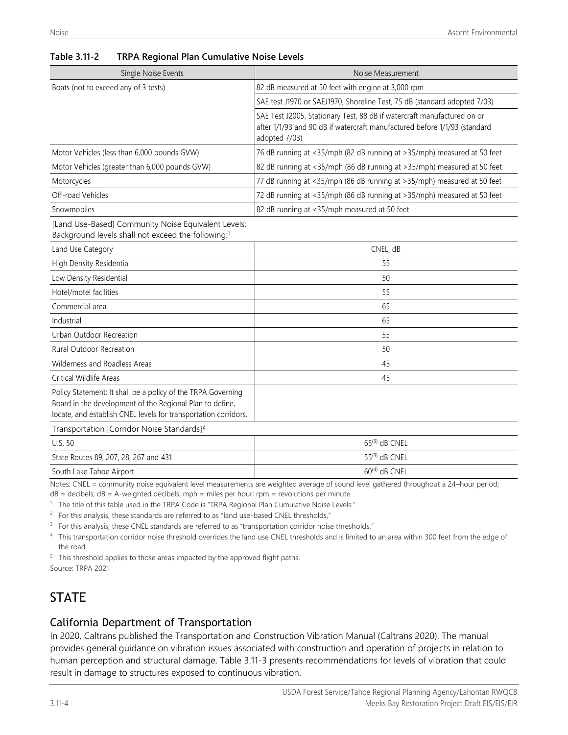| Single Noise Events                                                                                                                                                                         | Noise Measurement                                                                                                                                                     |
|---------------------------------------------------------------------------------------------------------------------------------------------------------------------------------------------|-----------------------------------------------------------------------------------------------------------------------------------------------------------------------|
| Boats (not to exceed any of 3 tests)                                                                                                                                                        | 82 dB measured at 50 feet with engine at 3,000 rpm                                                                                                                    |
|                                                                                                                                                                                             | SAE test J1970 or SAEJ1970, Shoreline Test, 75 dB (standard adopted 7/03)                                                                                             |
|                                                                                                                                                                                             | SAE Test J2005, Stationary Test, 88 dB if watercraft manufactured on or<br>after 1/1/93 and 90 dB if watercraft manufactured before 1/1/93 (standard<br>adopted 7/03) |
| Motor Vehicles (less than 6,000 pounds GVW)                                                                                                                                                 | 76 dB running at <35/mph (82 dB running at >35/mph) measured at 50 feet                                                                                               |
| Motor Vehicles (greater than 6,000 pounds GVW)                                                                                                                                              | 82 dB running at <35/mph (86 dB running at >35/mph) measured at 50 feet                                                                                               |
| Motorcycles                                                                                                                                                                                 | 77 dB running at <35/mph (86 dB running at >35/mph) measured at 50 feet                                                                                               |
| Off-road Vehicles                                                                                                                                                                           | 72 dB running at <35/mph (86 dB running at >35/mph) measured at 50 feet                                                                                               |
| Snowmobiles                                                                                                                                                                                 | 82 dB running at <35/mph measured at 50 feet                                                                                                                          |
| [Land Use-Based] Community Noise Equivalent Levels:<br>Background levels shall not exceed the following:1                                                                                   |                                                                                                                                                                       |
| Land Use Category                                                                                                                                                                           | CNEL, dB                                                                                                                                                              |
| High Density Residential                                                                                                                                                                    | 55                                                                                                                                                                    |
| Low Density Residential                                                                                                                                                                     | 50                                                                                                                                                                    |
| Hotel/motel facilities                                                                                                                                                                      | 55                                                                                                                                                                    |
| Commercial area                                                                                                                                                                             | 65                                                                                                                                                                    |
| Industrial                                                                                                                                                                                  | 65                                                                                                                                                                    |
| Urban Outdoor Recreation                                                                                                                                                                    | 55                                                                                                                                                                    |
| Rural Outdoor Recreation                                                                                                                                                                    | 50                                                                                                                                                                    |
| Wilderness and Roadless Areas                                                                                                                                                               | 45                                                                                                                                                                    |
| Critical Wildlife Areas                                                                                                                                                                     | 45                                                                                                                                                                    |
| Policy Statement: It shall be a policy of the TRPA Governing<br>Board in the development of the Regional Plan to define,<br>locate, and establish CNEL levels for transportation corridors. |                                                                                                                                                                       |
| Transportation [Corridor Noise Standards] <sup>2</sup>                                                                                                                                      |                                                                                                                                                                       |
| <b>U.S. 50</b>                                                                                                                                                                              | $65^{(3)}$ dB CNEL                                                                                                                                                    |
| State Routes 89, 207, 28, 267 and 431                                                                                                                                                       | $55^{(3)}$ dB CNEL                                                                                                                                                    |

#### **Table 3.11-2 TRPA Regional Plan Cumulative Noise Levels**

South Lake Tahoe Airport 60<sup>(4)</sup> dB CNEL Notes: CNEL = community noise equivalent level measurements are weighted average of sound level gathered throughout a 24-hour period;

dB = decibels; dB = A-weighted decibels; mph = miles per hour; rpm = revolutions per minute

<sup>1</sup> The title of this table used in the TRPA Code is "TRPA Regional Plan Cumulative Noise Levels."

 $2$  For this analysis, these standards are referred to as "land use-based CNEL thresholds."

<sup>3</sup> For this analysis, these CNEL standards are referred to as "transportation corridor noise thresholds."

<sup>4</sup> This transportation corridor noise threshold overrides the land use CNEL thresholds and is limited to an area within 300 feet from the edge of the road.

<sup>5</sup> This threshold applies to those areas impacted by the approved flight paths.

Source: TRPA 2021.

## **STATE**

### California Department of Transportation

In 2020, Caltrans published the Transportation and Construction Vibration Manual (Caltrans 2020). The manual provides general guidance on vibration issues associated with construction and operation of projects in relation to human perception and structural damage. Table 3.11-3 presents recommendations for levels of vibration that could result in damage to structures exposed to continuous vibration.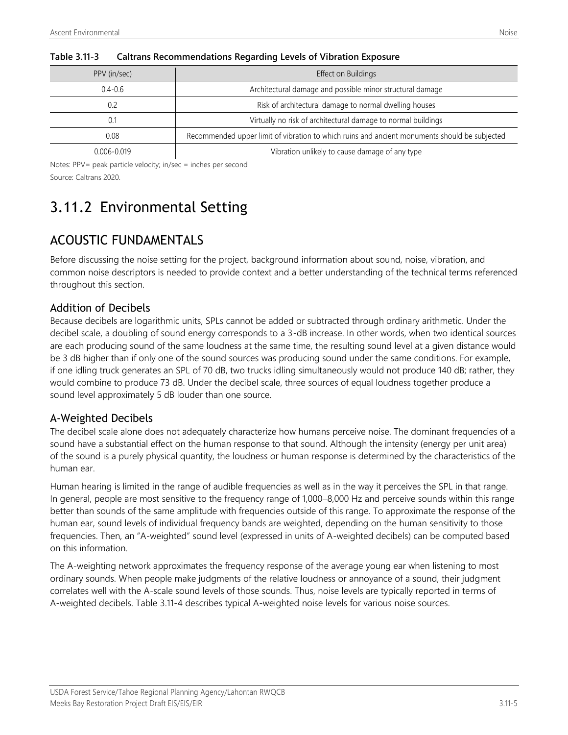| PPV (in/sec)    | Effect on Buildings                                                                           |
|-----------------|-----------------------------------------------------------------------------------------------|
| $0.4 - 0.6$     | Architectural damage and possible minor structural damage                                     |
| 0.2             | Risk of architectural damage to normal dwelling houses                                        |
| 0.1             | Virtually no risk of architectural damage to normal buildings                                 |
| 0.08            | Recommended upper limit of vibration to which ruins and ancient monuments should be subjected |
| $0.006 - 0.019$ | Vibration unlikely to cause damage of any type                                                |

#### **Table 3.11-3 Caltrans Recommendations Regarding Levels of Vibration Exposure**

Notes: PPV= peak particle velocity; in/sec = inches per second Source: Caltrans 2020.

# 3.11.2 Environmental Setting

## ACOUSTIC FUNDAMENTALS

Before discussing the noise setting for the project, background information about sound, noise, vibration, and common noise descriptors is needed to provide context and a better understanding of the technical terms referenced throughout this section.

### Addition of Decibels

Because decibels are logarithmic units, SPLs cannot be added or subtracted through ordinary arithmetic. Under the decibel scale, a doubling of sound energy corresponds to a 3-dB increase. In other words, when two identical sources are each producing sound of the same loudness at the same time, the resulting sound level at a given distance would be 3 dB higher than if only one of the sound sources was producing sound under the same conditions. For example, if one idling truck generates an SPL of 70 dB, two trucks idling simultaneously would not produce 140 dB; rather, they would combine to produce 73 dB. Under the decibel scale, three sources of equal loudness together produce a sound level approximately 5 dB louder than one source.

## A-Weighted Decibels

The decibel scale alone does not adequately characterize how humans perceive noise. The dominant frequencies of a sound have a substantial effect on the human response to that sound. Although the intensity (energy per unit area) of the sound is a purely physical quantity, the loudness or human response is determined by the characteristics of the human ear.

Human hearing is limited in the range of audible frequencies as well as in the way it perceives the SPL in that range. In general, people are most sensitive to the frequency range of 1,000–8,000 Hz and perceive sounds within this range better than sounds of the same amplitude with frequencies outside of this range. To approximate the response of the human ear, sound levels of individual frequency bands are weighted, depending on the human sensitivity to those frequencies. Then, an "A-weighted" sound level (expressed in units of A-weighted decibels) can be computed based on this information.

The A-weighting network approximates the frequency response of the average young ear when listening to most ordinary sounds. When people make judgments of the relative loudness or annoyance of a sound, their judgment correlates well with the A-scale sound levels of those sounds. Thus, noise levels are typically reported in terms of A-weighted decibels. Table 3.11-4 describes typical A-weighted noise levels for various noise sources.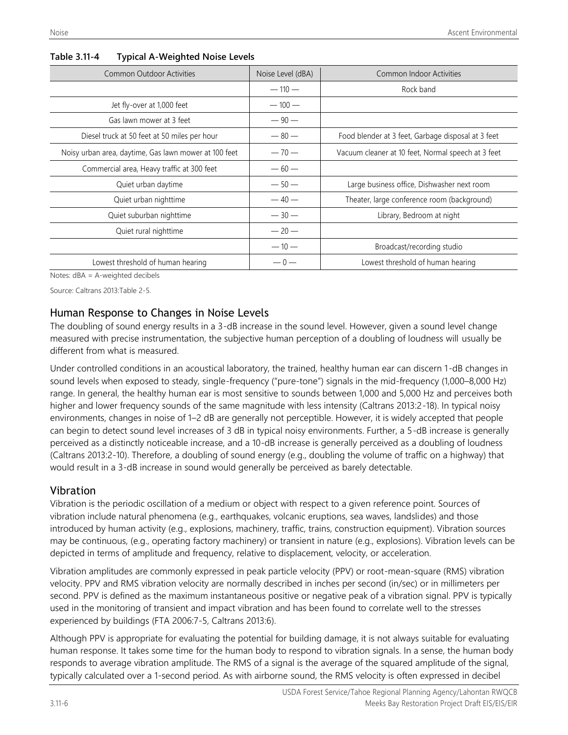| <b>Common Outdoor Activities</b>                      | Noise Level (dBA) | Common Indoor Activities                           |
|-------------------------------------------------------|-------------------|----------------------------------------------------|
|                                                       | $-110-$           | Rock band                                          |
| Jet fly-over at 1,000 feet                            | $-100-$           |                                                    |
| Gas lawn mower at 3 feet                              | $-90-$            |                                                    |
| Diesel truck at 50 feet at 50 miles per hour          | $-80-$            | Food blender at 3 feet, Garbage disposal at 3 feet |
| Noisy urban area, daytime, Gas lawn mower at 100 feet | $-70-$            | Vacuum cleaner at 10 feet, Normal speech at 3 feet |
| Commercial area, Heavy traffic at 300 feet            | $-60-$            |                                                    |
| Quiet urban daytime                                   | $-50-$            | Large business office, Dishwasher next room        |
| Quiet urban nighttime                                 | $-40-$            | Theater, large conference room (background)        |
| Quiet suburban nighttime                              | $-30-$            | Library, Bedroom at night                          |
| Quiet rural nighttime                                 | $-20-$            |                                                    |
|                                                       | $-10-$            | Broadcast/recording studio                         |
| Lowest threshold of human hearing                     | $-0-$             | Lowest threshold of human hearing                  |

#### **Table 3.11-4 Typical A-Weighted Noise Levels**

Notes: dBA = A-weighted decibels

Source: Caltrans 2013:Table 2-5.

### Human Response to Changes in Noise Levels

The doubling of sound energy results in a 3-dB increase in the sound level. However, given a sound level change measured with precise instrumentation, the subjective human perception of a doubling of loudness will usually be different from what is measured.

Under controlled conditions in an acoustical laboratory, the trained, healthy human ear can discern 1-dB changes in sound levels when exposed to steady, single-frequency ("pure-tone") signals in the mid-frequency (1,000–8,000 Hz) range. In general, the healthy human ear is most sensitive to sounds between 1,000 and 5,000 Hz and perceives both higher and lower frequency sounds of the same magnitude with less intensity (Caltrans 2013:2-18). In typical noisy environments, changes in noise of 1–2 dB are generally not perceptible. However, it is widely accepted that people can begin to detect sound level increases of 3 dB in typical noisy environments. Further, a 5-dB increase is generally perceived as a distinctly noticeable increase, and a 10-dB increase is generally perceived as a doubling of loudness (Caltrans 2013:2-10). Therefore, a doubling of sound energy (e.g., doubling the volume of traffic on a highway) that would result in a 3-dB increase in sound would generally be perceived as barely detectable.

#### Vibration

Vibration is the periodic oscillation of a medium or object with respect to a given reference point. Sources of vibration include natural phenomena (e.g., earthquakes, volcanic eruptions, sea waves, landslides) and those introduced by human activity (e.g., explosions, machinery, traffic, trains, construction equipment). Vibration sources may be continuous, (e.g., operating factory machinery) or transient in nature (e.g., explosions). Vibration levels can be depicted in terms of amplitude and frequency, relative to displacement, velocity, or acceleration.

Vibration amplitudes are commonly expressed in peak particle velocity (PPV) or root-mean-square (RMS) vibration velocity. PPV and RMS vibration velocity are normally described in inches per second (in/sec) or in millimeters per second. PPV is defined as the maximum instantaneous positive or negative peak of a vibration signal. PPV is typically used in the monitoring of transient and impact vibration and has been found to correlate well to the stresses experienced by buildings (FTA 2006:7-5, Caltrans 2013:6).

Although PPV is appropriate for evaluating the potential for building damage, it is not always suitable for evaluating human response. It takes some time for the human body to respond to vibration signals. In a sense, the human body responds to average vibration amplitude. The RMS of a signal is the average of the squared amplitude of the signal, typically calculated over a 1-second period. As with airborne sound, the RMS velocity is often expressed in decibel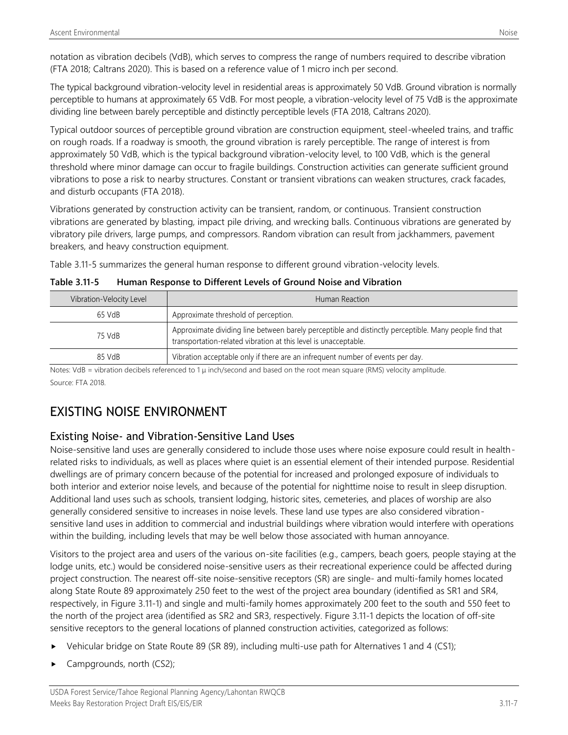notation as vibration decibels (VdB), which serves to compress the range of numbers required to describe vibration (FTA 2018; Caltrans 2020). This is based on a reference value of 1 micro inch per second.

The typical background vibration-velocity level in residential areas is approximately 50 VdB. Ground vibration is normally perceptible to humans at approximately 65 VdB. For most people, a vibration-velocity level of 75 VdB is the approximate dividing line between barely perceptible and distinctly perceptible levels (FTA 2018, Caltrans 2020).

Typical outdoor sources of perceptible ground vibration are construction equipment, steel-wheeled trains, and traffic on rough roads. If a roadway is smooth, the ground vibration is rarely perceptible. The range of interest is from approximately 50 VdB, which is the typical background vibration-velocity level, to 100 VdB, which is the general threshold where minor damage can occur to fragile buildings. Construction activities can generate sufficient ground vibrations to pose a risk to nearby structures. Constant or transient vibrations can weaken structures, crack facades, and disturb occupants (FTA 2018).

Vibrations generated by construction activity can be transient, random, or continuous. Transient construction vibrations are generated by blasting, impact pile driving, and wrecking balls. Continuous vibrations are generated by vibratory pile drivers, large pumps, and compressors. Random vibration can result from jackhammers, pavement breakers, and heavy construction equipment.

Table 3.11-5 summarizes the general human response to different ground vibration-velocity levels.

| Table 3.11-5 | Human Response to Different Levels of Ground Noise and Vibration |
|--------------|------------------------------------------------------------------|
|--------------|------------------------------------------------------------------|

| Vibration-Velocity Level | Human Reaction                                                                                                                                                            |
|--------------------------|---------------------------------------------------------------------------------------------------------------------------------------------------------------------------|
| 65 VdB                   | Approximate threshold of perception.                                                                                                                                      |
| 75 VdB                   | Approximate dividing line between barely perceptible and distinctly perceptible. Many people find that<br>transportation-related vibration at this level is unacceptable. |
| 85 VdB                   | Vibration acceptable only if there are an infrequent number of events per day.                                                                                            |

Notes: VdB = vibration decibels referenced to 1 μ inch/second and based on the root mean square (RMS) velocity amplitude.

Source: FTA 2018.

## EXISTING NOISE ENVIRONMENT

## Existing Noise- and Vibration-Sensitive Land Uses

Noise-sensitive land uses are generally considered to include those uses where noise exposure could result in healthrelated risks to individuals, as well as places where quiet is an essential element of their intended purpose. Residential dwellings are of primary concern because of the potential for increased and prolonged exposure of individuals to both interior and exterior noise levels, and because of the potential for nighttime noise to result in sleep disruption. Additional land uses such as schools, transient lodging, historic sites, cemeteries, and places of worship are also generally considered sensitive to increases in noise levels. These land use types are also considered vibrationsensitive land uses in addition to commercial and industrial buildings where vibration would interfere with operations within the building, including levels that may be well below those associated with human annoyance.

Visitors to the project area and users of the various on-site facilities (e.g., campers, beach goers, people staying at the lodge units, etc.) would be considered noise-sensitive users as their recreational experience could be affected during project construction. The nearest off-site noise-sensitive receptors (SR) are single- and multi-family homes located along State Route 89 approximately 250 feet to the west of the project area boundary (identified as SR1 and SR4, respectively, in Figure 3.11-1) and single and multi-family homes approximately 200 feet to the south and 550 feet to the north of the project area (identified as SR2 and SR3, respectively. Figure 3.11-1 depicts the location of off-site sensitive receptors to the general locations of planned construction activities, categorized as follows:

- Vehicular bridge on State Route 89 (SR 89), including multi-use path for Alternatives 1 and 4 (CS1);
- Campgrounds, north (CS2);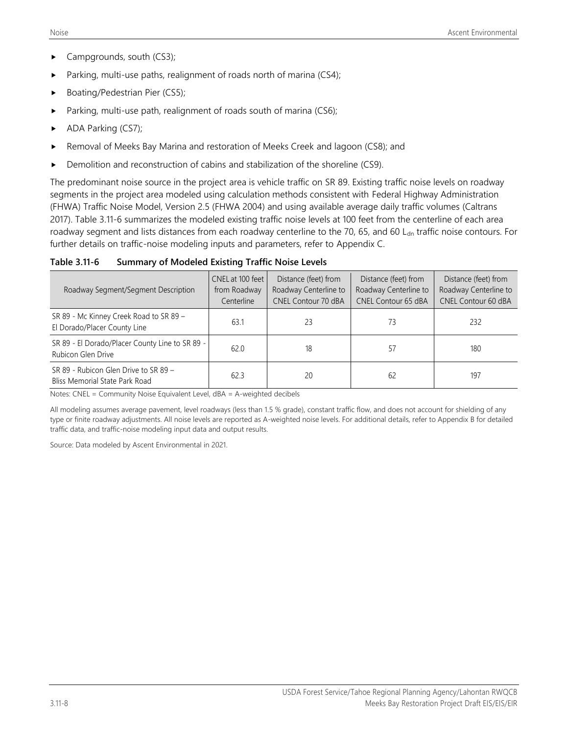- Campgrounds, south (CS3);
- Parking, multi-use paths, realignment of roads north of marina (CS4);
- Boating/Pedestrian Pier (CS5);
- Parking, multi-use path, realignment of roads south of marina (CS6);
- ADA Parking (CS7);
- Removal of Meeks Bay Marina and restoration of Meeks Creek and lagoon (CS8); and
- Demolition and reconstruction of cabins and stabilization of the shoreline (CS9).

The predominant noise source in the project area is vehicle traffic on SR 89. Existing traffic noise levels on roadway segments in the project area modeled using calculation methods consistent with Federal Highway Administration (FHWA) Traffic Noise Model, Version 2.5 (FHWA 2004) and using available average daily traffic volumes (Caltrans 2017). Table 3.11-6 summarizes the modeled existing traffic noise levels at 100 feet from the centerline of each area roadway segment and lists distances from each roadway centerline to the 70, 65, and 60 L<sub>dn</sub> traffic noise contours. For further details on traffic-noise modeling inputs and parameters, refer to Appendix C.

**Table 3.11-6 Summary of Modeled Existing Traffic Noise Levels**

| Roadway Segment/Segment Description                                     | CNEL at 100 feet<br>from Roadway<br>Centerline | Distance (feet) from<br>Roadway Centerline to<br><b>CNEL Contour 70 dBA</b> | Distance (feet) from<br>Roadway Centerline to<br><b>CNEL Contour 65 dBA</b> | Distance (feet) from<br>Roadway Centerline to<br><b>CNEL Contour 60 dBA</b> |
|-------------------------------------------------------------------------|------------------------------------------------|-----------------------------------------------------------------------------|-----------------------------------------------------------------------------|-----------------------------------------------------------------------------|
| SR 89 - Mc Kinney Creek Road to SR 89 -<br>El Dorado/Placer County Line | 63.1                                           | 23                                                                          | 73                                                                          | 232                                                                         |
| SR 89 - El Dorado/Placer County Line to SR 89 -<br>Rubicon Glen Drive   | 62.0                                           | 18                                                                          | 57                                                                          | 180                                                                         |
| SR 89 - Rubicon Glen Drive to SR 89 -<br>Bliss Memorial State Park Road | 62.3                                           | 20                                                                          | 62                                                                          | 197                                                                         |

Notes: CNEL = Community Noise Equivalent Level, dBA = A-weighted decibels

All modeling assumes average pavement, level roadways (less than 1.5 % grade), constant traffic flow, and does not account for shielding of any type or finite roadway adjustments. All noise levels are reported as A-weighted noise levels. For additional details, refer to Appendix B for detailed traffic data, and traffic-noise modeling input data and output results.

Source: Data modeled by Ascent Environmental in 2021.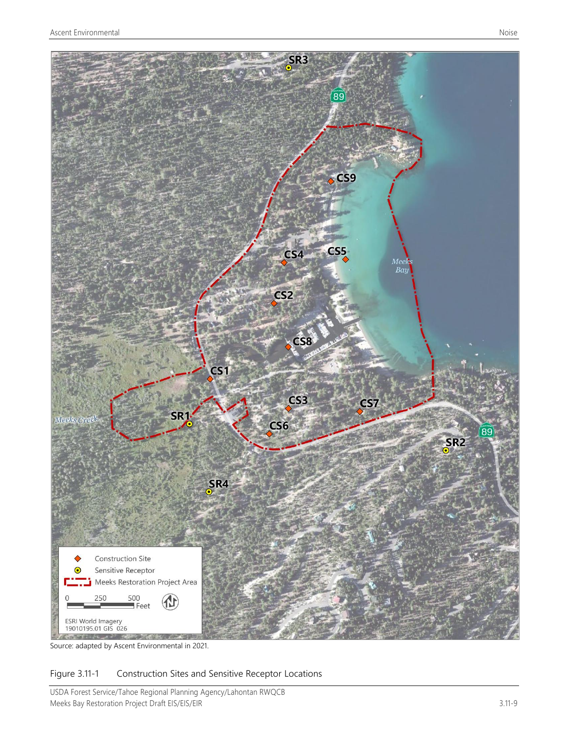

Source: adapted by Ascent Environmental in 2021.

### Figure 3.11-1 Construction Sites and Sensitive Receptor Locations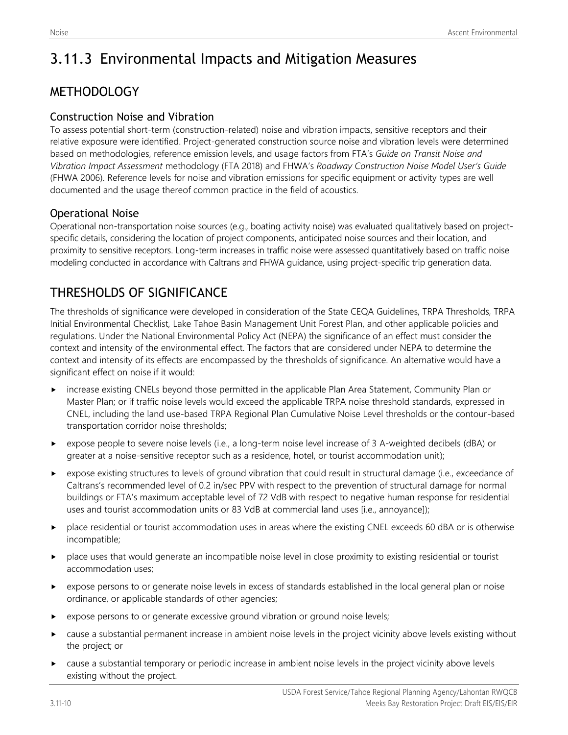# 3.11.3 Environmental Impacts and Mitigation Measures

## **METHODOLOGY**

### Construction Noise and Vibration

To assess potential short-term (construction-related) noise and vibration impacts, sensitive receptors and their relative exposure were identified. Project-generated construction source noise and vibration levels were determined based on methodologies, reference emission levels, and usage factors from FTA's *Guide on Transit Noise and Vibration Impact Assessment* methodology (FTA 2018) and FHWA's *Roadway Construction Noise Model User's Guide* (FHWA 2006). Reference levels for noise and vibration emissions for specific equipment or activity types are well documented and the usage thereof common practice in the field of acoustics.

### Operational Noise

Operational non-transportation noise sources (e.g., boating activity noise) was evaluated qualitatively based on projectspecific details, considering the location of project components, anticipated noise sources and their location, and proximity to sensitive receptors. Long-term increases in traffic noise were assessed quantitatively based on traffic noise modeling conducted in accordance with Caltrans and FHWA guidance, using project-specific trip generation data.

## THRESHOLDS OF SIGNIFICANCE

The thresholds of significance were developed in consideration of the State CEQA Guidelines, TRPA Thresholds, TRPA Initial Environmental Checklist, Lake Tahoe Basin Management Unit Forest Plan, and other applicable policies and regulations. Under the National Environmental Policy Act (NEPA) the significance of an effect must consider the context and intensity of the environmental effect. The factors that are considered under NEPA to determine the context and intensity of its effects are encompassed by the thresholds of significance. An alternative would have a significant effect on noise if it would:

- increase existing CNELs beyond those permitted in the applicable Plan Area Statement, Community Plan or Master Plan; or if traffic noise levels would exceed the applicable TRPA noise threshold standards, expressed in CNEL, including the land use-based TRPA Regional Plan Cumulative Noise Level thresholds or the contour-based transportation corridor noise thresholds;
- expose people to severe noise levels (i.e., a long-term noise level increase of 3 A-weighted decibels (dBA) or greater at a noise-sensitive receptor such as a residence, hotel, or tourist accommodation unit);
- expose existing structures to levels of ground vibration that could result in structural damage (i.e., exceedance of Caltrans's recommended level of 0.2 in/sec PPV with respect to the prevention of structural damage for normal buildings or FTA's maximum acceptable level of 72 VdB with respect to negative human response for residential uses and tourist accommodation units or 83 VdB at commercial land uses [i.e., annoyance]);
- place residential or tourist accommodation uses in areas where the existing CNEL exceeds 60 dBA or is otherwise incompatible;
- place uses that would generate an incompatible noise level in close proximity to existing residential or tourist accommodation uses;
- expose persons to or generate noise levels in excess of standards established in the local general plan or noise ordinance, or applicable standards of other agencies;
- expose persons to or generate excessive ground vibration or ground noise levels;
- cause a substantial permanent increase in ambient noise levels in the project vicinity above levels existing without the project; or
- cause a substantial temporary or periodic increase in ambient noise levels in the project vicinity above levels existing without the project.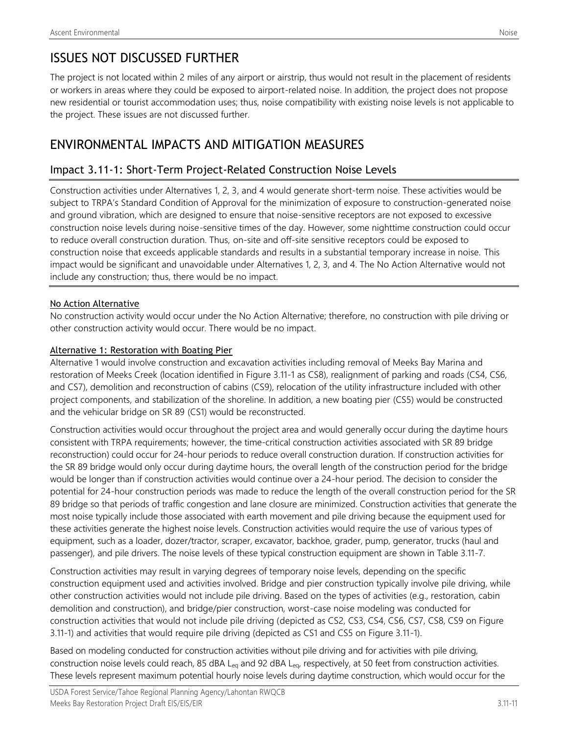## ISSUES NOT DISCUSSED FURTHER

The project is not located within 2 miles of any airport or airstrip, thus would not result in the placement of residents or workers in areas where they could be exposed to airport-related noise. In addition, the project does not propose new residential or tourist accommodation uses; thus, noise compatibility with existing noise levels is not applicable to the project. These issues are not discussed further.

## ENVIRONMENTAL IMPACTS AND MITIGATION MEASURES

### Impact 3.11-1: Short-Term Project-Related Construction Noise Levels

Construction activities under Alternatives 1, 2, 3, and 4 would generate short-term noise. These activities would be subject to TRPA's Standard Condition of Approval for the minimization of exposure to construction-generated noise and ground vibration, which are designed to ensure that noise-sensitive receptors are not exposed to excessive construction noise levels during noise-sensitive times of the day. However, some nighttime construction could occur to reduce overall construction duration. Thus, on-site and off-site sensitive receptors could be exposed to construction noise that exceeds applicable standards and results in a substantial temporary increase in noise. This impact would be significant and unavoidable under Alternatives 1, 2, 3, and 4. The No Action Alternative would not include any construction; thus, there would be no impact.

#### No Action Alternative

No construction activity would occur under the No Action Alternative; therefore, no construction with pile driving or other construction activity would occur. There would be no impact.

#### Alternative 1: Restoration with Boating Pier

Alternative 1 would involve construction and excavation activities including removal of Meeks Bay Marina and restoration of Meeks Creek (location identified in Figure 3.11-1 as CS8), realignment of parking and roads (CS4, CS6, and CS7), demolition and reconstruction of cabins (CS9), relocation of the utility infrastructure included with other project components, and stabilization of the shoreline. In addition, a new boating pier (CS5) would be constructed and the vehicular bridge on SR 89 (CS1) would be reconstructed.

Construction activities would occur throughout the project area and would generally occur during the daytime hours consistent with TRPA requirements; however, the time-critical construction activities associated with SR 89 bridge reconstruction) could occur for 24-hour periods to reduce overall construction duration. If construction activities for the SR 89 bridge would only occur during daytime hours, the overall length of the construction period for the bridge would be longer than if construction activities would continue over a 24-hour period. The decision to consider the potential for 24-hour construction periods was made to reduce the length of the overall construction period for the SR 89 bridge so that periods of traffic congestion and lane closure are minimized. Construction activities that generate the most noise typically include those associated with earth movement and pile driving because the equipment used for these activities generate the highest noise levels. Construction activities would require the use of various types of equipment, such as a loader, dozer/tractor, scraper, excavator, backhoe, grader, pump, generator, trucks (haul and passenger), and pile drivers. The noise levels of these typical construction equipment are shown in Table 3.11-7.

Construction activities may result in varying degrees of temporary noise levels, depending on the specific construction equipment used and activities involved. Bridge and pier construction typically involve pile driving, while other construction activities would not include pile driving. Based on the types of activities (e.g., restoration, cabin demolition and construction), and bridge/pier construction, worst-case noise modeling was conducted for construction activities that would not include pile driving (depicted as CS2, CS3, CS4, CS6, CS7, CS8, CS9 on Figure 3.11-1) and activities that would require pile driving (depicted as CS1 and CS5 on Figure 3.11-1).

Based on modeling conducted for construction activities without pile driving and for activities with pile driving, construction noise levels could reach, 85 dBA L<sub>eq</sub> and 92 dBA L<sub>eq</sub>, respectively, at 50 feet from construction activities. These levels represent maximum potential hourly noise levels during daytime construction, which would occur for the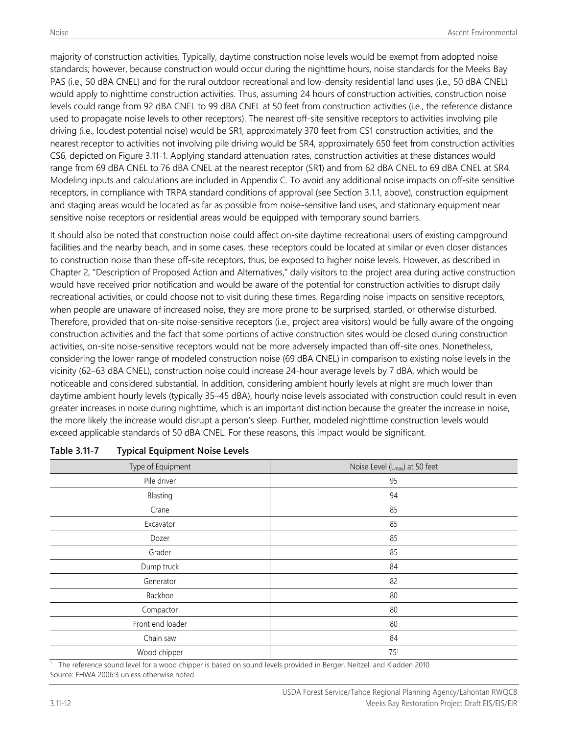majority of construction activities. Typically, daytime construction noise levels would be exempt from adopted noise standards; however, because construction would occur during the nighttime hours, noise standards for the Meeks Bay PAS (i.e., 50 dBA CNEL) and for the rural outdoor recreational and low-density residential land uses (i.e., 50 dBA CNEL) would apply to nighttime construction activities. Thus, assuming 24 hours of construction activities, construction noise levels could range from 92 dBA CNEL to 99 dBA CNEL at 50 feet from construction activities (i.e., the reference distance used to propagate noise levels to other receptors). The nearest off-site sensitive receptors to activities involving pile driving (i.e., loudest potential noise) would be SR1, approximately 370 feet from CS1 construction activities, and the nearest receptor to activities not involving pile driving would be SR4, approximately 650 feet from construction activities CS6, depicted on Figure 3.11-1. Applying standard attenuation rates, construction activities at these distances would range from 69 dBA CNEL to 76 dBA CNEL at the nearest receptor (SR1) and from 62 dBA CNEL to 69 dBA CNEL at SR4. Modeling inputs and calculations are included in Appendix C. To avoid any additional noise impacts on off-site sensitive receptors, in compliance with TRPA standard conditions of approval (see Section 3.1.1, above), construction equipment and staging areas would be located as far as possible from noise-sensitive land uses, and stationary equipment near sensitive noise receptors or residential areas would be equipped with temporary sound barriers.

It should also be noted that construction noise could affect on-site daytime recreational users of existing campground facilities and the nearby beach, and in some cases, these receptors could be located at similar or even closer distances to construction noise than these off-site receptors, thus, be exposed to higher noise levels. However, as described in Chapter 2, "Description of Proposed Action and Alternatives," daily visitors to the project area during active construction would have received prior notification and would be aware of the potential for construction activities to disrupt daily recreational activities, or could choose not to visit during these times. Regarding noise impacts on sensitive receptors, when people are unaware of increased noise, they are more prone to be surprised, startled, or otherwise disturbed. Therefore, provided that on-site noise-sensitive receptors (i.e., project area visitors) would be fully aware of the ongoing construction activities and the fact that some portions of active construction sites would be closed during construction activities, on-site noise-sensitive receptors would not be more adversely impacted than off-site ones. Nonetheless, considering the lower range of modeled construction noise (69 dBA CNEL) in comparison to existing noise levels in the vicinity (62–63 dBA CNEL), construction noise could increase 24-hour average levels by 7 dBA, which would be noticeable and considered substantial. In addition, considering ambient hourly levels at night are much lower than daytime ambient hourly levels (typically 35–45 dBA), hourly noise levels associated with construction could result in even greater increases in noise during nighttime, which is an important distinction because the greater the increase in noise, the more likely the increase would disrupt a person's sleep. Further, modeled nighttime construction levels would exceed applicable standards of 50 dBA CNEL. For these reasons, this impact would be significant.

| Type of Equipment | Noise Level (L <sub>max</sub> ) at 50 feet |
|-------------------|--------------------------------------------|
| Pile driver       | 95                                         |
| Blasting          | 94                                         |
| Crane             | 85                                         |
| Excavator         | 85                                         |
| Dozer             | 85                                         |
| Grader            | 85                                         |
| Dump truck        | 84                                         |
| Generator         | 82                                         |
| Backhoe           | 80                                         |
| Compactor         | 80                                         |
| Front end loader  | 80                                         |
| Chain saw         | 84                                         |
| Wood chipper      | 75 <sup>1</sup>                            |

#### **Table 3.11-7 Typical Equipment Noise Levels**

The reference sound level for a wood chipper is based on sound levels provided in Berger, Neitzel, and Kladden 2010. Source: FHWA 2006:3 unless otherwise noted.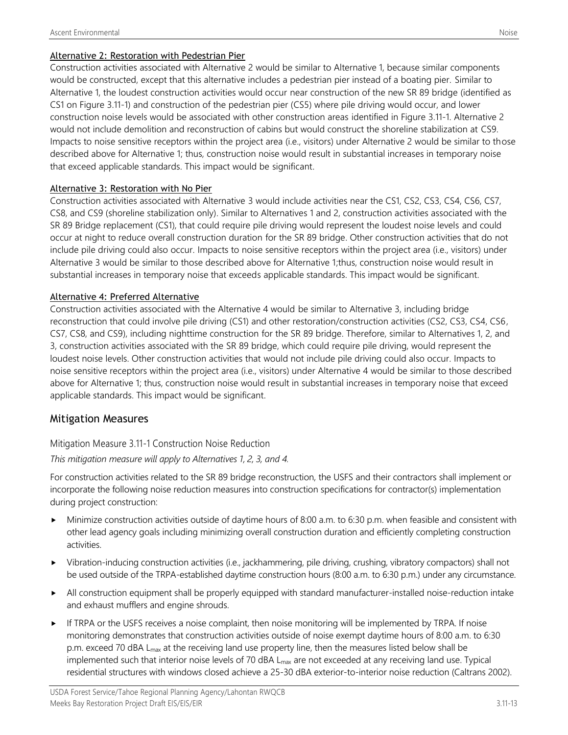#### Alternative 2: Restoration with Pedestrian Pier

Construction activities associated with Alternative 2 would be similar to Alternative 1, because similar components would be constructed, except that this alternative includes a pedestrian pier instead of a boating pier. Similar to Alternative 1, the loudest construction activities would occur near construction of the new SR 89 bridge (identified as CS1 on Figure 3.11-1) and construction of the pedestrian pier (CS5) where pile driving would occur, and lower construction noise levels would be associated with other construction areas identified in Figure 3.11-1. Alternative 2 would not include demolition and reconstruction of cabins but would construct the shoreline stabilization at CS9. Impacts to noise sensitive receptors within the project area (i.e., visitors) under Alternative 2 would be similar to those described above for Alternative 1; thus, construction noise would result in substantial increases in temporary noise that exceed applicable standards. This impact would be significant.

#### Alternative 3: Restoration with No Pier

Construction activities associated with Alternative 3 would include activities near the CS1, CS2, CS3, CS4, CS6, CS7, CS8, and CS9 (shoreline stabilization only). Similar to Alternatives 1 and 2, construction activities associated with the SR 89 Bridge replacement (CS1), that could require pile driving would represent the loudest noise levels and could occur at night to reduce overall construction duration for the SR 89 bridge. Other construction activities that do not include pile driving could also occur. Impacts to noise sensitive receptors within the project area (i.e., visitors) under Alternative 3 would be similar to those described above for Alternative 1;thus, construction noise would result in substantial increases in temporary noise that exceeds applicable standards. This impact would be significant.

#### Alternative 4: Preferred Alternative

Construction activities associated with the Alternative 4 would be similar to Alternative 3, including bridge reconstruction that could involve pile driving (CS1) and other restoration/construction activities (CS2, CS3, CS4, CS6, CS7, CS8, and CS9), including nighttime construction for the SR 89 bridge. Therefore, similar to Alternatives 1, 2, and 3, construction activities associated with the SR 89 bridge, which could require pile driving, would represent the loudest noise levels. Other construction activities that would not include pile driving could also occur. Impacts to noise sensitive receptors within the project area (i.e., visitors) under Alternative 4 would be similar to those described above for Alternative 1; thus, construction noise would result in substantial increases in temporary noise that exceed applicable standards. This impact would be significant.

#### Mitigation Measures

#### Mitigation Measure 3.11-1 Construction Noise Reduction

#### *This mitigation measure will apply to Alternatives 1, 2, 3, and 4.*

For construction activities related to the SR 89 bridge reconstruction, the USFS and their contractors shall implement or incorporate the following noise reduction measures into construction specifications for contractor(s) implementation during project construction:

- Minimize construction activities outside of daytime hours of 8:00 a.m. to 6:30 p.m. when feasible and consistent with other lead agency goals including minimizing overall construction duration and efficiently completing construction activities.
- Vibration-inducing construction activities (i.e., jackhammering, pile driving, crushing, vibratory compactors) shall not be used outside of the TRPA-established daytime construction hours (8:00 a.m. to 6:30 p.m.) under any circumstance.
- All construction equipment shall be properly equipped with standard manufacturer-installed noise-reduction intake and exhaust mufflers and engine shrouds.
- If TRPA or the USFS receives a noise complaint, then noise monitoring will be implemented by TRPA. If noise monitoring demonstrates that construction activities outside of noise exempt daytime hours of 8:00 a.m. to 6:30 p.m. exceed 70 dBA L<sub>max</sub> at the receiving land use property line, then the measures listed below shall be implemented such that interior noise levels of 70 dBA L<sub>max</sub> are not exceeded at any receiving land use. Typical residential structures with windows closed achieve a 25-30 dBA exterior-to-interior noise reduction (Caltrans 2002).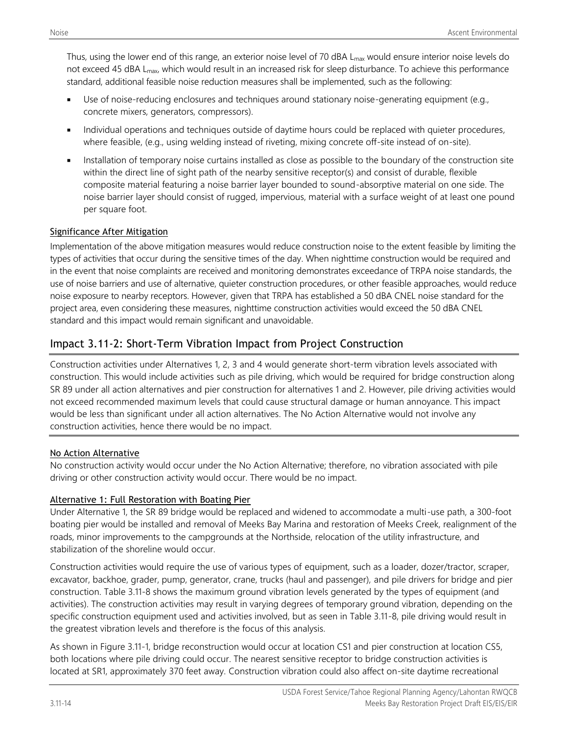Thus, using the lower end of this range, an exterior noise level of 70 dBA L<sub>max</sub> would ensure interior noise levels do not exceed 45 dBA L<sub>max</sub>, which would result in an increased risk for sleep disturbance. To achieve this performance standard, additional feasible noise reduction measures shall be implemented, such as the following:

- Use of noise-reducing enclosures and techniques around stationary noise-generating equipment (e.g., concrete mixers, generators, compressors).
- Individual operations and techniques outside of daytime hours could be replaced with quieter procedures, where feasible, (e.g., using welding instead of riveting, mixing concrete off-site instead of on-site).
- Installation of temporary noise curtains installed as close as possible to the boundary of the construction site within the direct line of sight path of the nearby sensitive receptor(s) and consist of durable, flexible composite material featuring a noise barrier layer bounded to sound-absorptive material on one side. The noise barrier layer should consist of rugged, impervious, material with a surface weight of at least one pound per square foot.

#### Significance After Mitigation

Implementation of the above mitigation measures would reduce construction noise to the extent feasible by limiting the types of activities that occur during the sensitive times of the day. When nighttime construction would be required and in the event that noise complaints are received and monitoring demonstrates exceedance of TRPA noise standards, the use of noise barriers and use of alternative, quieter construction procedures, or other feasible approaches, would reduce noise exposure to nearby receptors. However, given that TRPA has established a 50 dBA CNEL noise standard for the project area, even considering these measures, nighttime construction activities would exceed the 50 dBA CNEL standard and this impact would remain significant and unavoidable.

## Impact 3.11-2: Short-Term Vibration Impact from Project Construction

Construction activities under Alternatives 1, 2, 3 and 4 would generate short-term vibration levels associated with construction. This would include activities such as pile driving, which would be required for bridge construction along SR 89 under all action alternatives and pier construction for alternatives 1 and 2. However, pile driving activities would not exceed recommended maximum levels that could cause structural damage or human annoyance. This impact would be less than significant under all action alternatives. The No Action Alternative would not involve any construction activities, hence there would be no impact.

#### No Action Alternative

No construction activity would occur under the No Action Alternative; therefore, no vibration associated with pile driving or other construction activity would occur. There would be no impact.

#### Alternative 1: Full Restoration with Boating Pier

Under Alternative 1, the SR 89 bridge would be replaced and widened to accommodate a multi-use path, a 300-foot boating pier would be installed and removal of Meeks Bay Marina and restoration of Meeks Creek, realignment of the roads, minor improvements to the campgrounds at the Northside, relocation of the utility infrastructure, and stabilization of the shoreline would occur.

Construction activities would require the use of various types of equipment, such as a loader, dozer/tractor, scraper, excavator, backhoe, grader, pump, generator, crane, trucks (haul and passenger), and pile drivers for bridge and pier construction. Table 3.11-8 shows the maximum ground vibration levels generated by the types of equipment (and activities). The construction activities may result in varying degrees of temporary ground vibration, depending on the specific construction equipment used and activities involved, but as seen in Table 3.11-8, pile driving would result in the greatest vibration levels and therefore is the focus of this analysis.

As shown in Figure 3.11-1, bridge reconstruction would occur at location CS1 and pier construction at location CS5, both locations where pile driving could occur. The nearest sensitive receptor to bridge construction activities is located at SR1, approximately 370 feet away. Construction vibration could also affect on-site daytime recreational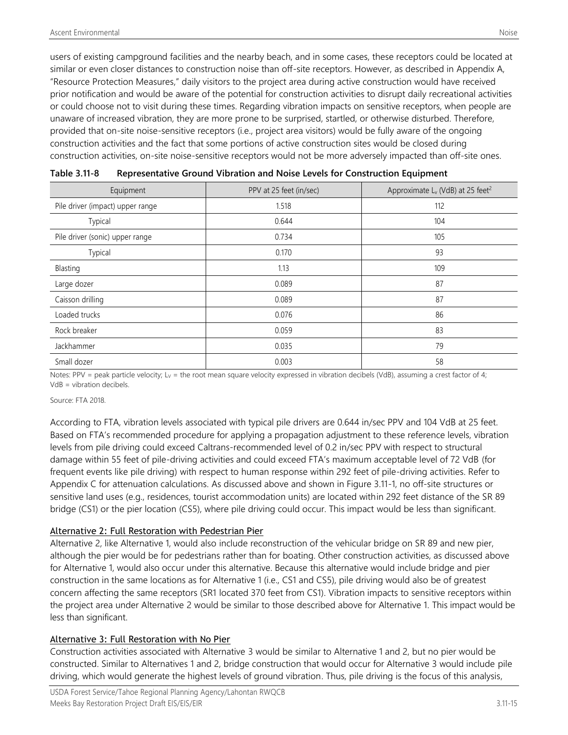users of existing campground facilities and the nearby beach, and in some cases, these receptors could be located at similar or even closer distances to construction noise than off-site receptors. However, as described in Appendix A, "Resource Protection Measures," daily visitors to the project area during active construction would have received prior notification and would be aware of the potential for construction activities to disrupt daily recreational activities or could choose not to visit during these times. Regarding vibration impacts on sensitive receptors, when people are unaware of increased vibration, they are more prone to be surprised, startled, or otherwise disturbed. Therefore, provided that on-site noise-sensitive receptors (i.e., project area visitors) would be fully aware of the ongoing construction activities and the fact that some portions of active construction sites would be closed during construction activities, on-site noise-sensitive receptors would not be more adversely impacted than off-site ones.

| Equipment                        | PPV at 25 feet (in/sec) | Approximate L <sub>v</sub> (VdB) at 25 feet <sup>2</sup> |
|----------------------------------|-------------------------|----------------------------------------------------------|
| Pile driver (impact) upper range | 1.518                   | 112                                                      |
| Typical                          | 0.644                   | 104                                                      |
| Pile driver (sonic) upper range  | 0.734                   | 105                                                      |
| Typical                          | 0.170                   | 93                                                       |
| Blasting                         | 1.13                    | 109                                                      |
| Large dozer                      | 0.089                   | 87                                                       |
| Caisson drilling                 | 0.089                   | 87                                                       |
| Loaded trucks                    | 0.076                   | 86                                                       |
| Rock breaker                     | 0.059                   | 83                                                       |
| Jackhammer                       | 0.035                   | 79                                                       |
| Small dozer                      | 0.003                   | 58                                                       |

| Table 3.11-8 | Representative Ground Vibration and Noise Levels for Construction Equipment |
|--------------|-----------------------------------------------------------------------------|
|              |                                                                             |

Notes: PPV = peak particle velocity;  $L_v$  = the root mean square velocity expressed in vibration decibels (VdB), assuming a crest factor of 4; VdB = vibration decibels.

#### Source: FTA 2018.

According to FTA, vibration levels associated with typical pile drivers are 0.644 in/sec PPV and 104 VdB at 25 feet. Based on FTA's recommended procedure for applying a propagation adjustment to these reference levels, vibration levels from pile driving could exceed Caltrans-recommended level of 0.2 in/sec PPV with respect to structural damage within 55 feet of pile-driving activities and could exceed FTA's maximum acceptable level of 72 VdB (for frequent events like pile driving) with respect to human response within 292 feet of pile-driving activities. Refer to Appendix C for attenuation calculations. As discussed above and shown in Figure 3.11-1, no off-site structures or sensitive land uses (e.g., residences, tourist accommodation units) are located within 292 feet distance of the SR 89 bridge (CS1) or the pier location (CS5), where pile driving could occur. This impact would be less than significant.

#### Alternative 2: Full Restoration with Pedestrian Pier

Alternative 2, like Alternative 1, would also include reconstruction of the vehicular bridge on SR 89 and new pier, although the pier would be for pedestrians rather than for boating. Other construction activities, as discussed above for Alternative 1, would also occur under this alternative. Because this alternative would include bridge and pier construction in the same locations as for Alternative 1 (i.e., CS1 and CS5), pile driving would also be of greatest concern affecting the same receptors (SR1 located 370 feet from CS1). Vibration impacts to sensitive receptors within the project area under Alternative 2 would be similar to those described above for Alternative 1. This impact would be less than significant.

#### Alternative 3: Full Restoration with No Pier

Construction activities associated with Alternative 3 would be similar to Alternative 1 and 2, but no pier would be constructed. Similar to Alternatives 1 and 2, bridge construction that would occur for Alternative 3 would include pile driving, which would generate the highest levels of ground vibration. Thus, pile driving is the focus of this analysis,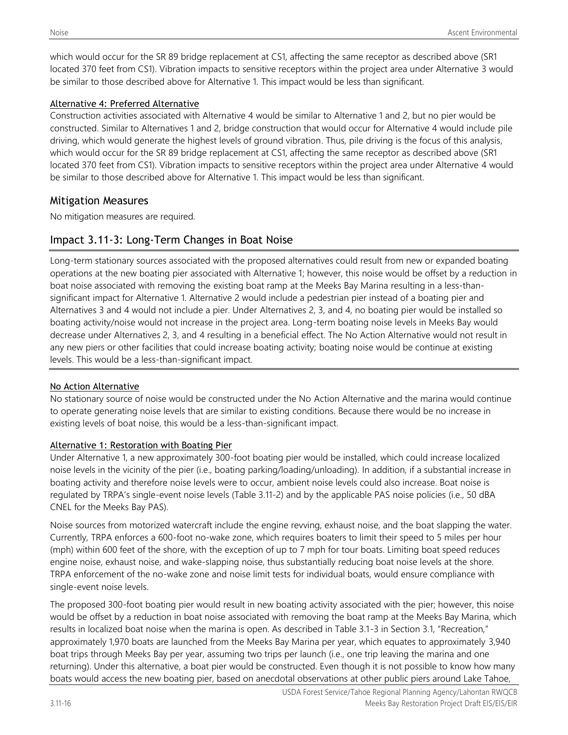which would occur for the SR 89 bridge replacement at CS1, affecting the same receptor as described above (SR1 located 370 feet from CS1). Vibration impacts to sensitive receptors within the project area under Alternative 3 would be similar to those described above for Alternative 1. This impact would be less than significant.

#### Alternative 4: Preferred Alternative

Construction activities associated with Alternative 4 would be similar to Alternative 1 and 2, but no pier would be constructed. Similar to Alternatives 1 and 2, bridge construction that would occur for Alternative 4 would include pile driving, which would generate the highest levels of ground vibration. Thus, pile driving is the focus of this analysis, which would occur for the SR 89 bridge replacement at CS1, affecting the same receptor as described above (SR1 located 370 feet from CS1). Vibration impacts to sensitive receptors within the project area under Alternative 4 would be similar to those described above for Alternative 1. This impact would be less than significant.

### Mitigation Measures

No mitigation measures are required.

## Impact 3.11-3: Long-Term Changes in Boat Noise

Long-term stationary sources associated with the proposed alternatives could result from new or expanded boating operations at the new boating pier associated with Alternative 1; however, this noise would be offset by a reduction in boat noise associated with removing the existing boat ramp at the Meeks Bay Marina resulting in a less-thansignificant impact for Alternative 1. Alternative 2 would include a pedestrian pier instead of a boating pier and Alternatives 3 and 4 would not include a pier. Under Alternatives 2, 3, and 4, no boating pier would be installed so boating activity/noise would not increase in the project area. Long-term boating noise levels in Meeks Bay would decrease under Alternatives 2, 3, and 4 resulting in a beneficial effect. The No Action Alternative would not result in any new piers or other facilities that could increase boating activity; boating noise would be continue at existing levels. This would be a less-than-significant impact.

#### No Action Alternative

No stationary source of noise would be constructed under the No Action Alternative and the marina would continue to operate generating noise levels that are similar to existing conditions. Because there would be no increase in existing levels of boat noise, this would be a less-than-significant impact.

#### Alternative 1: Restoration with Boating Pier

Under Alternative 1, a new approximately 300-foot boating pier would be installed, which could increase localized noise levels in the vicinity of the pier (i.e., boating parking/loading/unloading). In addition, if a substantial increase in boating activity and therefore noise levels were to occur, ambient noise levels could also increase. Boat noise is regulated by TRPA's single-event noise levels (Table 3.11-2) and by the applicable PAS noise policies (i.e., 50 dBA CNEL for the Meeks Bay PAS).

Noise sources from motorized watercraft include the engine revving, exhaust noise, and the boat slapping the water. Currently, TRPA enforces a 600-foot no-wake zone, which requires boaters to limit their speed to 5 miles per hour (mph) within 600 feet of the shore, with the exception of up to 7 mph for tour boats. Limiting boat speed reduces engine noise, exhaust noise, and wake-slapping noise, thus substantially reducing boat noise levels at the shore. TRPA enforcement of the no-wake zone and noise limit tests for individual boats, would ensure compliance with single-event noise levels.

The proposed 300-foot boating pier would result in new boating activity associated with the pier; however, this noise would be offset by a reduction in boat noise associated with removing the boat ramp at the Meeks Bay Marina, which results in localized boat noise when the marina is open. As described in Table 3.1-3 in Section 3.1, "Recreation," approximately 1,970 boats are launched from the Meeks Bay Marina per year, which equates to approximately 3,940 boat trips through Meeks Bay per year, assuming two trips per launch (i.e., one trip leaving the marina and one returning). Under this alternative, a boat pier would be constructed. Even though it is not possible to know how many boats would access the new boating pier, based on anecdotal observations at other public piers around Lake Tahoe,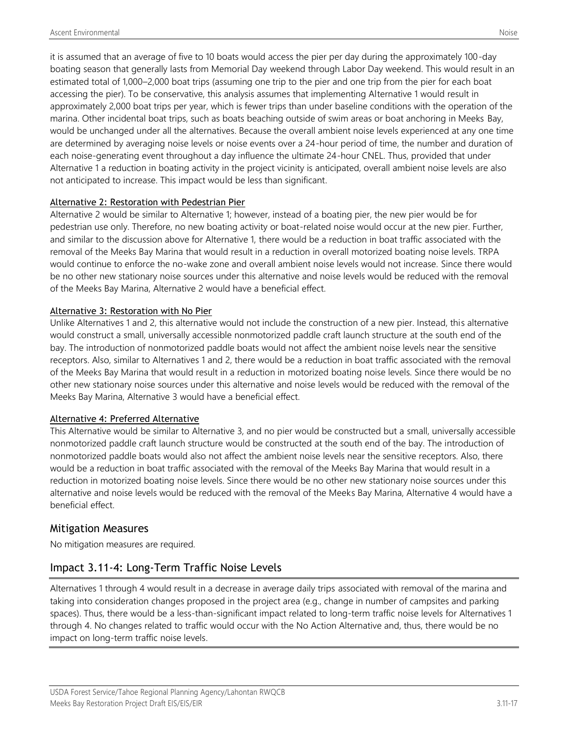it is assumed that an average of five to 10 boats would access the pier per day during the approximately 100-day boating season that generally lasts from Memorial Day weekend through Labor Day weekend. This would result in an estimated total of 1,000–2,000 boat trips (assuming one trip to the pier and one trip from the pier for each boat accessing the pier). To be conservative, this analysis assumes that implementing Alternative 1 would result in approximately 2,000 boat trips per year, which is fewer trips than under baseline conditions with the operation of the marina. Other incidental boat trips, such as boats beaching outside of swim areas or boat anchoring in Meeks Bay, would be unchanged under all the alternatives. Because the overall ambient noise levels experienced at any one time are determined by averaging noise levels or noise events over a 24-hour period of time, the number and duration of each noise-generating event throughout a day influence the ultimate 24-hour CNEL. Thus, provided that under Alternative 1 a reduction in boating activity in the project vicinity is anticipated, overall ambient noise levels are also not anticipated to increase. This impact would be less than significant.

#### Alternative 2: Restoration with Pedestrian Pier

Alternative 2 would be similar to Alternative 1; however, instead of a boating pier, the new pier would be for pedestrian use only. Therefore, no new boating activity or boat-related noise would occur at the new pier. Further, and similar to the discussion above for Alternative 1, there would be a reduction in boat traffic associated with the removal of the Meeks Bay Marina that would result in a reduction in overall motorized boating noise levels. TRPA would continue to enforce the no-wake zone and overall ambient noise levels would not increase. Since there would be no other new stationary noise sources under this alternative and noise levels would be reduced with the removal of the Meeks Bay Marina, Alternative 2 would have a beneficial effect.

#### Alternative 3: Restoration with No Pier

Unlike Alternatives 1 and 2, this alternative would not include the construction of a new pier. Instead, this alternative would construct a small, universally accessible nonmotorized paddle craft launch structure at the south end of the bay. The introduction of nonmotorized paddle boats would not affect the ambient noise levels near the sensitive receptors. Also, similar to Alternatives 1 and 2, there would be a reduction in boat traffic associated with the removal of the Meeks Bay Marina that would result in a reduction in motorized boating noise levels. Since there would be no other new stationary noise sources under this alternative and noise levels would be reduced with the removal of the Meeks Bay Marina, Alternative 3 would have a beneficial effect.

#### Alternative 4: Preferred Alternative

This Alternative would be similar to Alternative 3, and no pier would be constructed but a small, universally accessible nonmotorized paddle craft launch structure would be constructed at the south end of the bay. The introduction of nonmotorized paddle boats would also not affect the ambient noise levels near the sensitive receptors. Also, there would be a reduction in boat traffic associated with the removal of the Meeks Bay Marina that would result in a reduction in motorized boating noise levels. Since there would be no other new stationary noise sources under this alternative and noise levels would be reduced with the removal of the Meeks Bay Marina, Alternative 4 would have a beneficial effect.

#### Mitigation Measures

No mitigation measures are required.

#### Impact 3.11-4: Long-Term Traffic Noise Levels

Alternatives 1 through 4 would result in a decrease in average daily trips associated with removal of the marina and taking into consideration changes proposed in the project area (e.g., change in number of campsites and parking spaces). Thus, there would be a less-than-significant impact related to long-term traffic noise levels for Alternatives 1 through 4. No changes related to traffic would occur with the No Action Alternative and, thus, there would be no impact on long-term traffic noise levels.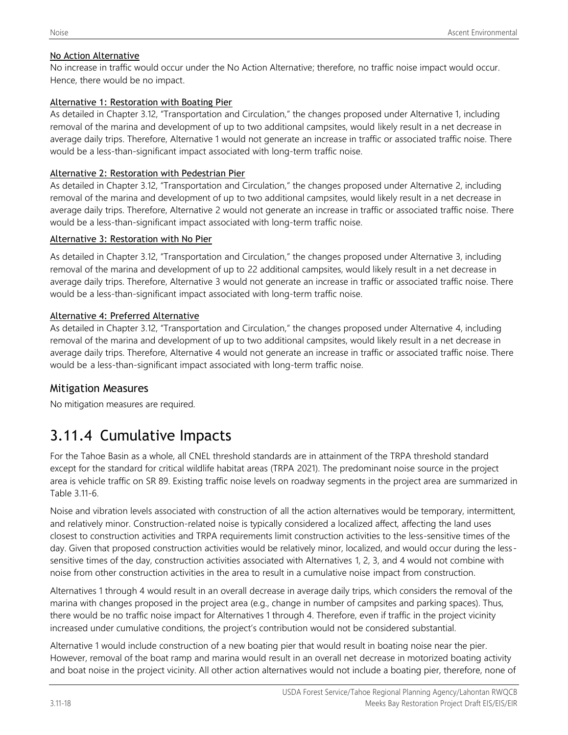#### No Action Alternative

No increase in traffic would occur under the No Action Alternative; therefore, no traffic noise impact would occur. Hence, there would be no impact.

#### Alternative 1: Restoration with Boating Pier

As detailed in Chapter 3.12, "Transportation and Circulation," the changes proposed under Alternative 1, including removal of the marina and development of up to two additional campsites, would likely result in a net decrease in average daily trips. Therefore, Alternative 1 would not generate an increase in traffic or associated traffic noise. There would be a less-than-significant impact associated with long-term traffic noise.

#### Alternative 2: Restoration with Pedestrian Pier

As detailed in Chapter 3.12, "Transportation and Circulation," the changes proposed under Alternative 2, including removal of the marina and development of up to two additional campsites, would likely result in a net decrease in average daily trips. Therefore, Alternative 2 would not generate an increase in traffic or associated traffic noise. There would be a less-than-significant impact associated with long-term traffic noise.

#### Alternative 3: Restoration with No Pier

As detailed in Chapter 3.12, "Transportation and Circulation," the changes proposed under Alternative 3, including removal of the marina and development of up to 22 additional campsites, would likely result in a net decrease in average daily trips. Therefore, Alternative 3 would not generate an increase in traffic or associated traffic noise. There would be a less-than-significant impact associated with long-term traffic noise.

#### Alternative 4: Preferred Alternative

As detailed in Chapter 3.12, "Transportation and Circulation," the changes proposed under Alternative 4, including removal of the marina and development of up to two additional campsites, would likely result in a net decrease in average daily trips. Therefore, Alternative 4 would not generate an increase in traffic or associated traffic noise. There would be a less-than-significant impact associated with long-term traffic noise.

#### Mitigation Measures

No mitigation measures are required.

# 3.11.4 Cumulative Impacts

For the Tahoe Basin as a whole, all CNEL threshold standards are in attainment of the TRPA threshold standard except for the standard for critical wildlife habitat areas (TRPA 2021). The predominant noise source in the project area is vehicle traffic on SR 89. Existing traffic noise levels on roadway segments in the project area are summarized in Table 3.11-6.

Noise and vibration levels associated with construction of all the action alternatives would be temporary, intermittent, and relatively minor. Construction-related noise is typically considered a localized affect, affecting the land uses closest to construction activities and TRPA requirements limit construction activities to the less-sensitive times of the day. Given that proposed construction activities would be relatively minor, localized, and would occur during the lesssensitive times of the day, construction activities associated with Alternatives 1, 2, 3, and 4 would not combine with noise from other construction activities in the area to result in a cumulative noise impact from construction.

Alternatives 1 through 4 would result in an overall decrease in average daily trips, which considers the removal of the marina with changes proposed in the project area (e.g., change in number of campsites and parking spaces). Thus, there would be no traffic noise impact for Alternatives 1 through 4. Therefore, even if traffic in the project vicinity increased under cumulative conditions, the project's contribution would not be considered substantial.

Alternative 1 would include construction of a new boating pier that would result in boating noise near the pier. However, removal of the boat ramp and marina would result in an overall net decrease in motorized boating activity and boat noise in the project vicinity. All other action alternatives would not include a boating pier, therefore, none of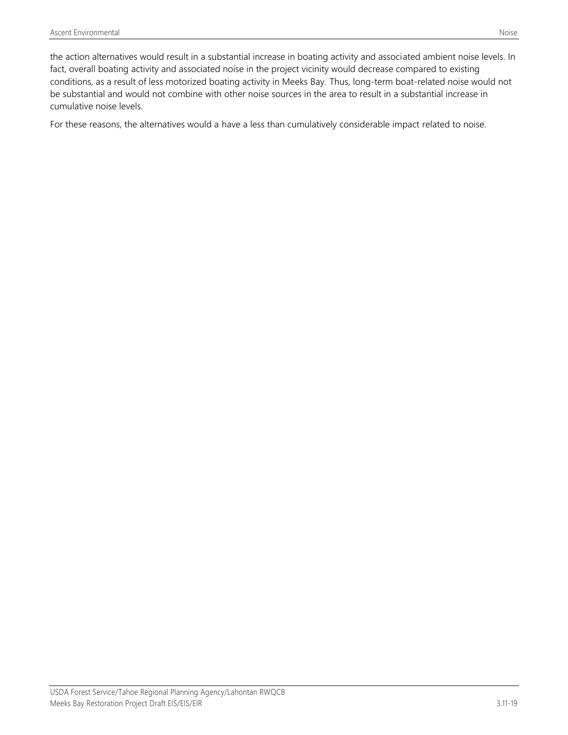the action alternatives would result in a substantial increase in boating activity and associated ambient noise levels. In fact, overall boating activity and associated noise in the project vicinity would decrease compared to existing conditions, as a result of less motorized boating activity in Meeks Bay. Thus, long-term boat-related noise would not be substantial and would not combine with other noise sources in the area to result in a substantial increase in cumulative noise levels.

For these reasons, the alternatives would a have a less than cumulatively considerable impact related to noise.